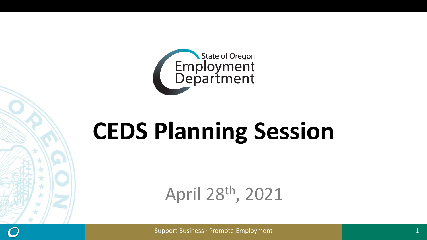

# **CEDS Planning Session**

April 28th, 2021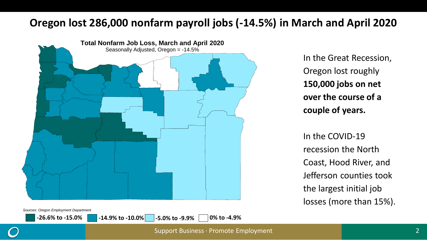#### **Oregon lost 286,000 nonfarm payroll jobs (-14.5%) in March and April 2020**



In the Great Recession, Oregon lost roughly **150,000 jobs on net over the course of a couple of years.**

In the COVID-19 recession the North Coast, Hood River, and Jefferson counties took the largest initial job losses (more than 15%).

*Sources: Oregon Employment Department*

**-26.6% to -15.0% -14.9% to -10.0% -5.0% to -9.9% 0% to -4.9%**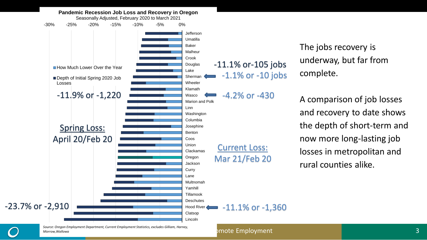

The jobs recovery is underway, but far from complete.

A comparison of job losses and recovery to date shows the depth of short-term and now more long-lasting job losses in metropolitan and rural counties alike.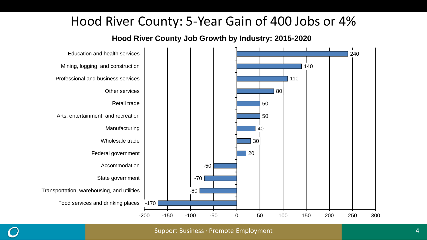### Hood River County: 5-Year Gain of 400 Jobs or 4%

**Hood River County Job Growth by Industry: 2015-2020**

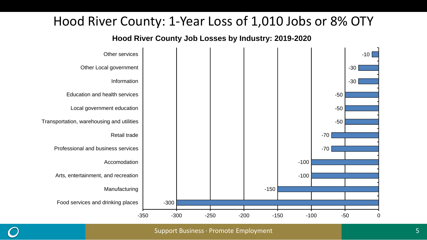### Hood River County: 1-Year Loss of 1,010 Jobs or 8% OTY

**Hood River County Job Losses by Industry: 2019-2020**

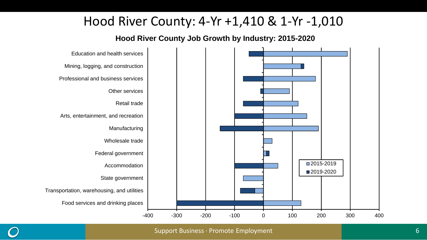### Hood River County: 4-Yr +1,410 & 1-Yr -1,010

**Hood River County Job Growth by Industry: 2015-2020**

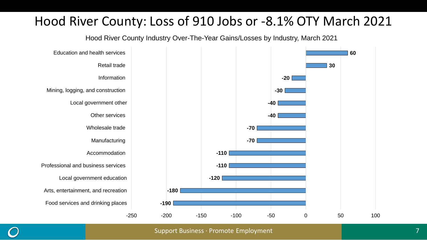### Hood River County: Loss of 910 Jobs or -8.1% OTY March 2021

Hood River County Industry Over-The-Year Gains/Losses by Industry, March 2021

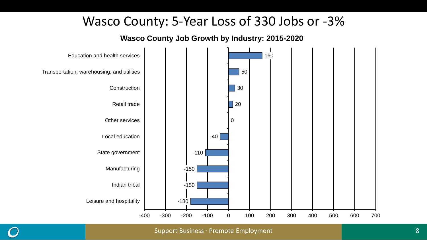#### Wasco County: 5-Year Loss of 330 Jobs or -3%

**Wasco County Job Growth by Industry: 2015-2020**

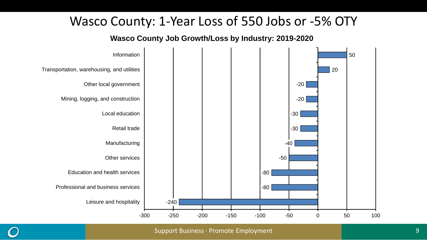#### Wasco County: 1-Year Loss of 550 Jobs or -5% OTY

**Wasco County Job Growth/Loss by Industry: 2019-2020**



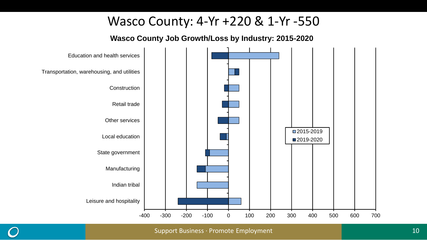#### Wasco County: 4-Yr +220 & 1-Yr -550

**Wasco County Job Growth/Loss by Industry: 2015-2020**

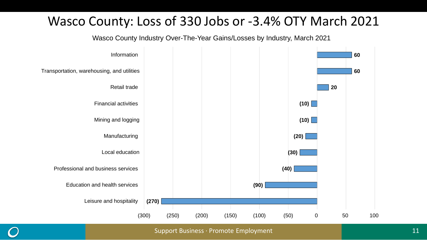### Wasco County: Loss of 330 Jobs or -3.4% OTY March 2021

Wasco County Industry Over-The-Year Gains/Losses by Industry, March 2021

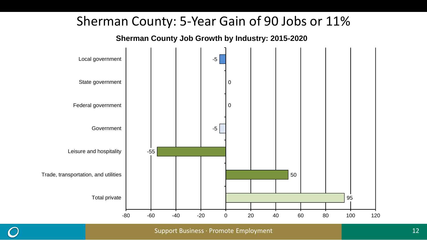#### Sherman County: 5-Year Gain of 90 Jobs or 11%

**Sherman County Job Growth by Industry: 2015-2020**

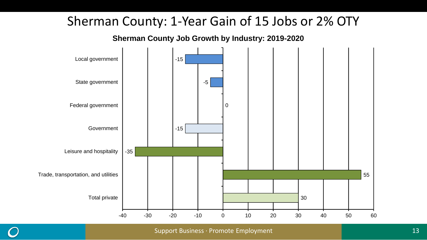### Sherman County: 1-Year Gain of 15 Jobs or 2% OTY

**Sherman County Job Growth by Industry: 2019-2020**



Support Business ∙ Promote Employment 13 and 13 and 13 and 13 and 13 and 13 and 13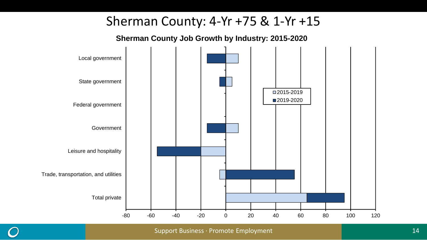### Sherman County: 4-Yr +75 & 1-Yr +15

**Sherman County Job Growth by Industry: 2015-2020**

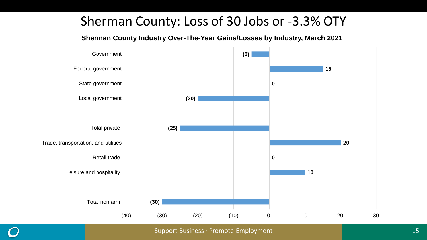### Sherman County: Loss of 30 Jobs or -3.3% OTY

**Sherman County Industry Over-The-Year Gains/Losses by Industry, March 2021** 

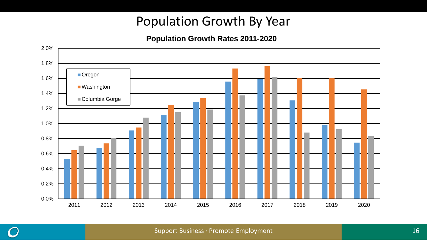### Population Growth By Year

#### **Population Growth Rates 2011-2020**



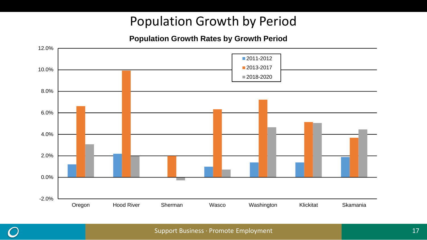### Population Growth by Period

#### **Population Growth Rates by Growth Period**



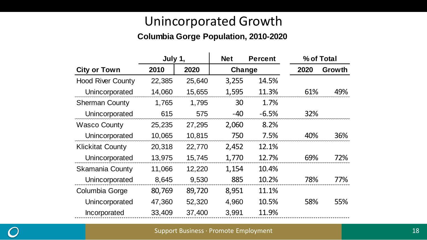### Unincorporated Growth

#### **Columbia Gorge Population, 2010-2020**

|                          | July 1, |        | <b>Net</b> | <b>Percent</b> |      | % of Total |  |
|--------------------------|---------|--------|------------|----------------|------|------------|--|
| <b>City or Town</b>      | 2010    | 2020   | Change     |                | 2020 | Growth     |  |
| <b>Hood River County</b> | 22,385  | 25,640 | 3,255      | 14.5%          |      |            |  |
| Unincorporated           | 14,060  | 15,655 | 1,595      | 11.3%          | 61%  | 49%        |  |
| <b>Sherman County</b>    | 1,765   | 1,795  | 30         | 1.7%           |      |            |  |
| Unincorporated           | 615     | 575    | $-40$      | $-6.5%$        | 32%  |            |  |
| <b>Wasco County</b>      | 25,235  | 27,295 | 2,060      | 8.2%           |      |            |  |
| Unincorporated           | 10,065  | 10,815 | 750        | 7.5%           | 40%  | 36%        |  |
| <b>Klickitat County</b>  | 20,318  | 22,770 | 2,452      | 12.1%          |      |            |  |
| Unincorporated           | 13,975  | 15,745 | 1,770      | 12.7%          | 69%  | 72%        |  |
| <b>Skamania County</b>   | 11,066  | 12,220 | 1,154      | 10.4%          |      |            |  |
| Unincorporated           | 8,645   | 9,530  | 885        | 10.2%          | 78%  | 77%        |  |
| Columbia Gorge           | 80,769  | 89,720 | 8,951      | 11.1%          |      |            |  |
| Unincorporated           | 47,360  | 52,320 | 4,960      | 10.5%          | 58%  | 55%        |  |
| Incorporated             | 33,409  | 37,400 | 3,991      | 11.9%          |      |            |  |

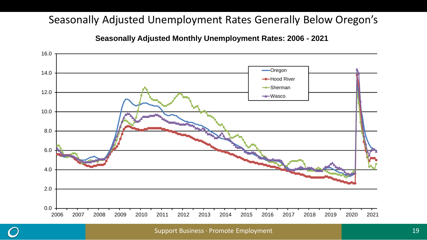#### Seasonally Adjusted Unemployment Rates Generally Below Oregon's

**Seasonally Adjusted Monthly Unemployment Rates: 2006 - 2021**

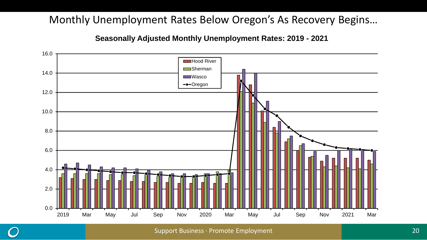#### Monthly Unemployment Rates Below Oregon's As Recovery Begins…

**Seasonally Adjusted Monthly Unemployment Rates: 2019 - 2021**

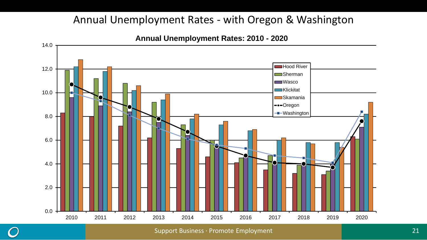#### Annual Unemployment Rates - with Oregon & Washington



**Annual Unemployment Rates: 2010 - 2020**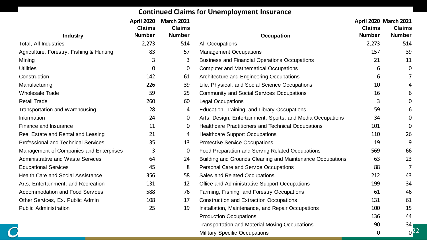#### **Continued Claims for Unemployment Insurance**

|                                          | April 2020    | <b>March 2021</b> |                                                            | <b>April 2020 March 2021</b> |                 |
|------------------------------------------|---------------|-------------------|------------------------------------------------------------|------------------------------|-----------------|
|                                          | <b>Claims</b> | <b>Claims</b>     |                                                            | <b>Claims</b>                | <b>Claims</b>   |
| Industry                                 | <b>Number</b> | <b>Number</b>     | Occupation                                                 | <b>Number</b>                | <b>Number</b>   |
| Total, All Industries                    | 2,273         | 514               | All Occupations                                            | 2,273                        | 514             |
| Agriculture, Forestry, Fishing & Hunting | 83            | 57                | <b>Management Occupations</b>                              | 157                          | 39              |
| Mining                                   | 3             | 3                 | <b>Business and Financial Operations Occupations</b>       | 21                           | 11              |
| <b>Utilities</b>                         | 0             | 0                 | <b>Computer and Mathematical Occupations</b>               | 6                            | 0               |
| Construction                             | 142           | 61                | Architecture and Engineering Occupations                   | 6                            |                 |
| Manufacturing                            | 226           | 39                | Life, Physical, and Social Science Occupations             | 10                           |                 |
| <b>Wholesale Trade</b>                   | 59            | 25                | <b>Community and Social Services Occupations</b>           | 16                           | 6               |
| <b>Retail Trade</b>                      | 260           | 60                | Legal Occupations                                          | 3                            | 0               |
| Transportation and Warehousing           | 28            | 4                 | Education, Training, and Library Occupations               | 59                           | 6               |
| Information                              | 24            | 0                 | Arts, Design, Entertainment, Sports, and Media Occupations | 34                           | O.              |
| Finance and Insurance                    | 11            | 0                 | <b>Healthcare Practitioners and Technical Occupations</b>  | 101                          | 0               |
| Real Estate and Rental and Leasing       | 21            | 4                 | <b>Healthcare Support Occupations</b>                      | 110                          | 26              |
| Professional and Technical Services      | 35            | 13                | <b>Protective Service Occupations</b>                      | 19                           | 9               |
| Management of Companies and Enterprises  | 3             | 0                 | Food Preparation and Serving Related Occupations           | 569                          | 66              |
| Administrative and Waste Services        | 64            | 24                | Building and Grounds Cleaning and Maintenance Occupations  | 63                           | 23              |
| <b>Educational Services</b>              | 45            | 8                 | <b>Personal Care and Service Occupations</b>               | 88                           |                 |
| <b>Health Care and Social Assistance</b> | 356           | 58                | Sales and Related Occupations                              | 212                          | 43              |
| Arts, Entertainment, and Recreation      | 131           | 12                | Office and Administrative Support Occupations              | 199                          | 34              |
| Accommodation and Food Services          | 588           | 76                | Farming, Fishing, and Forestry Occupations                 | 61                           | 46              |
| Other Services, Ex. Public Admin         | 108           | 17                | <b>Construction and Extraction Occupations</b>             | 131                          | 61              |
| <b>Public Administration</b>             | 25            | 19                | Installation, Maintenance, and Repair Occupations          | 100                          | 15              |
|                                          |               |                   | <b>Production Occupations</b>                              | 136                          | 44              |
|                                          |               |                   | Transportation and Material Moving Occupations             | 90                           | 34 <sub>1</sub> |
|                                          |               |                   | Military Specific Occupations                              | 0                            | $0^{22}$        |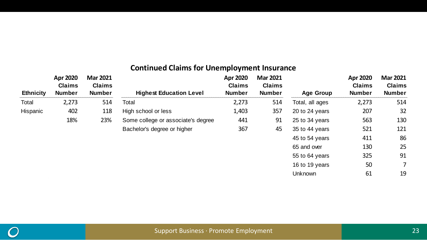#### **Continued Claims for Unemployment Insurance**

|                  | <b>Apr 2020</b><br><b>Claims</b> | <b>Mar 2021</b><br><b>Claims</b> |                                    | Apr 2020<br><b>Claims</b> | <b>Mar 2021</b><br><b>Claims</b> |                  | Apr 2020<br><b>Claims</b> | <b>Mar 2021</b><br><b>Claims</b> |
|------------------|----------------------------------|----------------------------------|------------------------------------|---------------------------|----------------------------------|------------------|---------------------------|----------------------------------|
| <b>Ethnicity</b> | <b>Number</b>                    | <b>Number</b>                    | <b>Highest Education Level</b>     | <b>Number</b>             | <b>Number</b>                    | <b>Age Group</b> | <b>Number</b>             | <b>Number</b>                    |
| Total            | 2,273                            | 514                              | Total                              | 2,273                     | 514                              | Total, all ages  | 2,273                     | 514                              |
| Hispanic         | 402                              | 118                              | High school or less                | 1,403                     | 357                              | 20 to 24 years   | 207                       | 32                               |
|                  | 18%                              | 23%                              | Some college or associate's degree | 441                       | 91                               | 25 to 34 years   | 563                       | 130                              |
|                  |                                  |                                  | Bachelor's degree or higher        | 367                       | 45                               | 35 to 44 years   | 521                       | 121                              |
|                  |                                  |                                  |                                    |                           |                                  | 45 to 54 years   | 411                       | 86                               |
|                  |                                  |                                  |                                    |                           |                                  | 65 and over      | 130                       | 25                               |
|                  |                                  |                                  |                                    |                           |                                  | 55 to 64 years   | 325                       | 91                               |
|                  |                                  |                                  |                                    |                           |                                  | 16 to 19 years   | 50                        | $\overline{7}$                   |
|                  |                                  |                                  |                                    |                           |                                  | Unknown          | 61                        | 19                               |

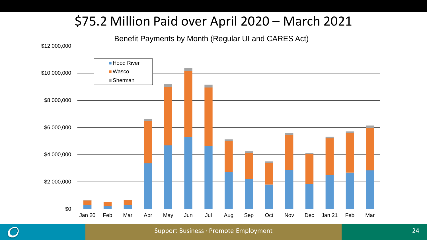# \$75.2 Million Paid over April 2020 – March 2021

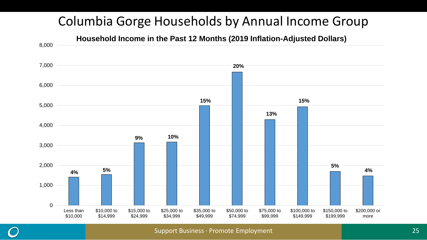# Columbia Gorge Households by Annual Income Group

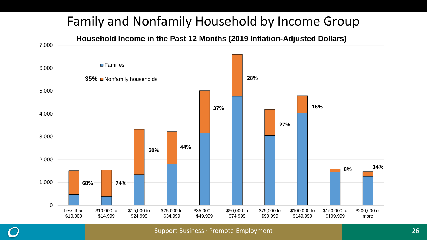# Family and Nonfamily Household by Income Group

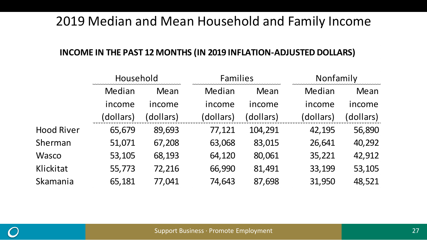### 2019 Median and Mean Household and Family Income

#### **INCOME IN THE PAST 12 MONTHS (IN 2019 INFLATION-ADJUSTED DOLLARS)**

|                   | Household |           |           | <b>Families</b> |           | Nonfamily |  |
|-------------------|-----------|-----------|-----------|-----------------|-----------|-----------|--|
|                   | Median    | Mean      | Median    | Mean            | Median    | Mean      |  |
|                   | income    | income    | income    | income          | income    | income    |  |
|                   | (dollars) | (dollars) | (dollars) | (dollars)       | (dollars) | dollars)  |  |
| <b>Hood River</b> | 65,679    | 89,693    | 77,121    | 104,291         | 42,195    | 56,890    |  |
| Sherman           | 51,071    | 67,208    | 63,068    | 83,015          | 26,641    | 40,292    |  |
| Wasco             | 53,105    | 68,193    | 64,120    | 80,061          | 35,221    | 42,912    |  |
| Klickitat         | 55,773    | 72,216    | 66,990    | 81,491          | 33,199    | 53,105    |  |
| Skamania          | 65,181    | 77,041    | 74,643    | 87,698          | 31,950    | 48,521    |  |
|                   |           |           |           |                 |           |           |  |

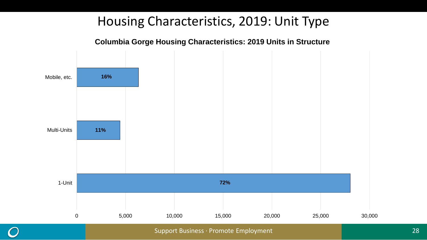### Housing Characteristics, 2019: Unit Type



**Columbia Gorge Housing Characteristics: 2019 Units in Structure**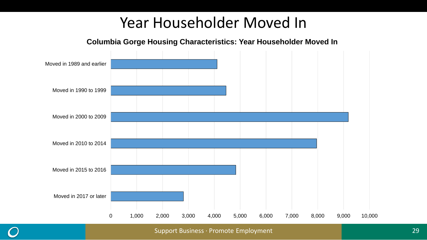# Year Householder Moved In

**Columbia Gorge Housing Characteristics: Year Householder Moved In**

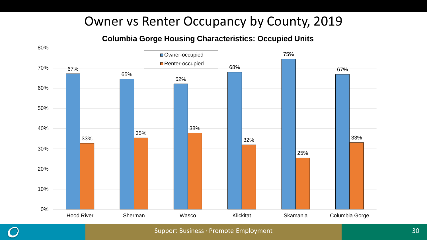### Owner vs Renter Occupancy by County, 2019

#### **Columbia Gorge Housing Characteristics: Occupied Units**



Support Business ∙ Promote Employment 30 30 30